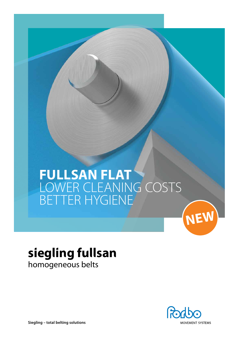# **FullSan Flat** LOWER CLEANING COSTS BETTER HYGIENE



# **siegling fullsan** homogeneous belts



**Siegling – total belting solutions**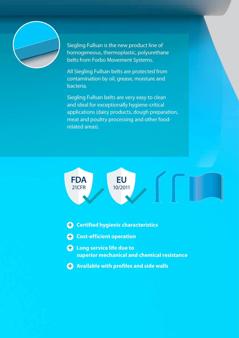

Siegling Fullsan is the new product line of homogeneous, thermoplastic, polyurethane belts from Forbo Movement Systems.

All Siegling Fullsan belts are protected from contamination by oil, grease, moisture and bacteria.

Siegling Fullsan belts are very easy to clean and ideal for exceptionally hygiene-critical applications (dairy products, dough preparation, meat and poultry processing and other foodrelated areas).



- $\bigodot$  Certified hygienic characteristics
- **4** Cost-efficient operation
- **4** Long service life due to **superior mechanical and chemical resistance**
- $\bigodot$  Available with profiles and side walls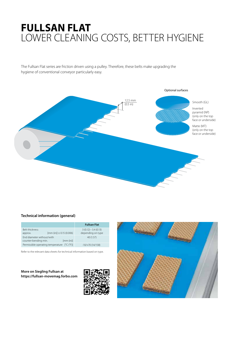## **Fullsan Flat** LOWER CLEANING COSTS, BETTER HYGIENE

The Fullsan Flat series are friction driven using a pulley. Therefore, these belts make upgrading the hygiene of conventional conveyor particularly easy.



### **Technical information (general)**

|                                                                  | <b>Fullsan Flat</b>                                              |
|------------------------------------------------------------------|------------------------------------------------------------------|
| <b>Belt thickness</b><br>$[mm (in)] \pm 0.15 (0.006)$<br>approx. | $3(0.12) - 3.4(0.13)$<br>depending on type                       |
| End diameter without/with<br>counter-bending min.                | 40 (1.57)<br>[mm (in)]                                           |
| Permissible operating temperature                                | $\lceil ^{\circ}$ C ( $\lceil ^{\circ}$ F)]<br>$-10/+70(14/158)$ |

Refer to the relevant data sheets for technical information based on type.

**More on Siegling Fullsan at https://fullsan-movemag.forbo.com**